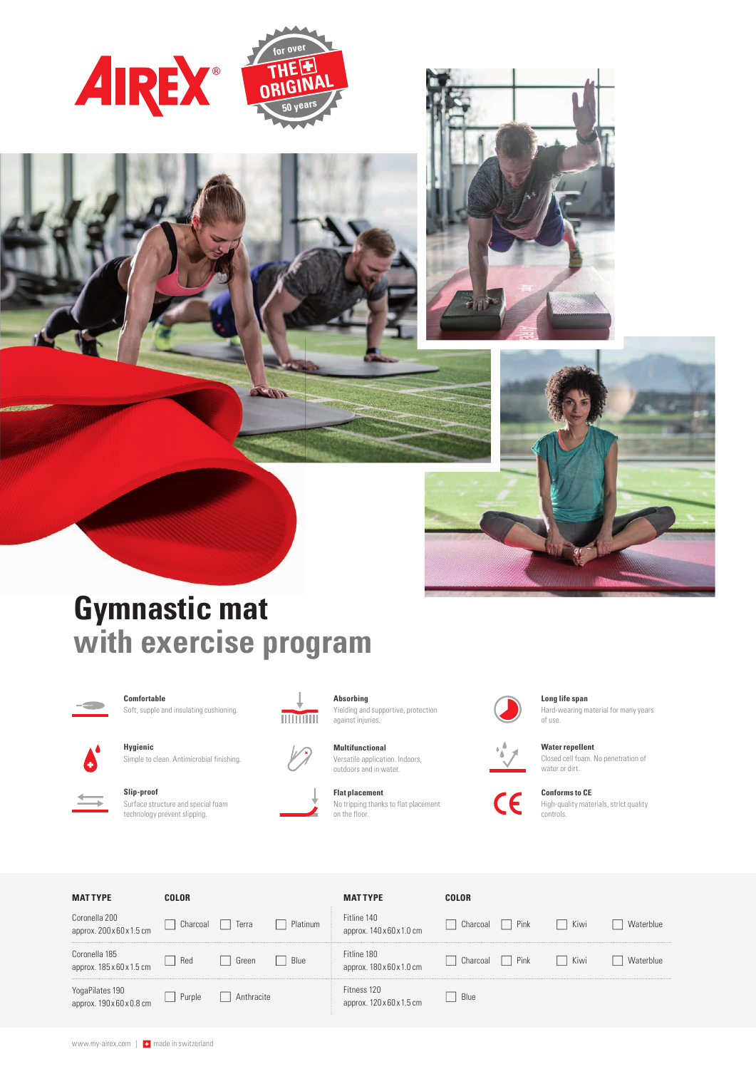







# **Gymnastic mat with exercise program**



**Comfortable** Soft, supple and insulating cushioning.



**Hygienic** Simple to clean. Antimicrobial finishing.



**Slip-proof** Surface structure and special foam technology prevent slipping.



**Absorbing**

Yielding and supportive, protection against injuries.

**Multifunctional** Versatile application. Indoors, outdoors and in water.

**Flat placement**  No tripping thanks to flat placement on the floor.



**Long life span**  Hard-wearing material for many years of use.



 $\overline{\mathsf{CE}}$ 

**Conforms to CE**  High-quality materials, strict quality controls.

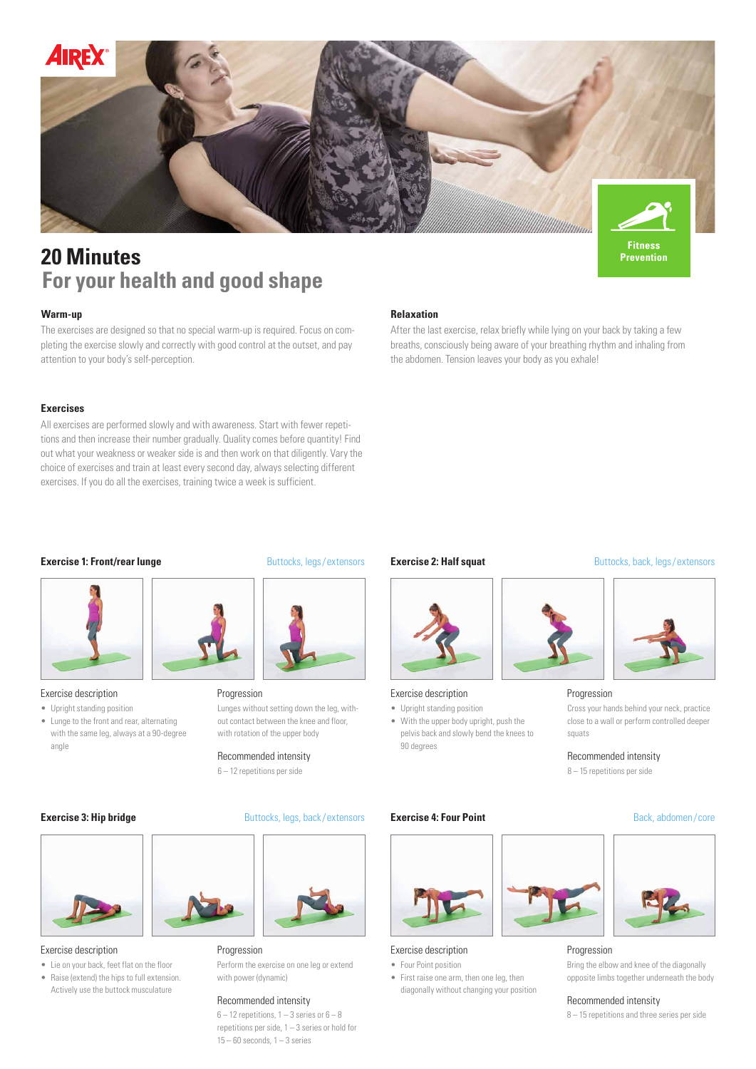

## **20 Minutes For your health and good shape**

The exercises are designed so that no special warm-up is required. Focus on completing the exercise slowly and correctly with good control at the outset, and pay attention to your body's self-perception.

## **Exercises**

All exercises are performed slowly and with awareness. Start with fewer repetitions and then increase their number gradually. Quality comes before quantity! Find out what your weakness or weaker side is and then work on that diligently. Vary the choice of exercises and train at least every second day, always selecting different exercises. If you do all the exercises, training twice a week is sufficient.

#### **Warm-up Relaxation**

After the last exercise, relax briefly while lying on your back by taking a few breaths, consciously being aware of your breathing rhythm and inhaling from the abdomen. Tension leaves your body as you exhale!

#### **Exercise 1: Front/rear lunge** Buttocks, legs/extensors



#### Exercise description

- Upright standing position
- Lunge to the front and rear, alternating with the same leg, always at a 90-degree angle



Lunges without setting down the leg, without contact between the knee and floor, with rotation of the upper body Progression

6 – 12 repetitions per side 8 – 15 repetitions per side

#### **Exercise 3: Hip bridge** Buttocks, legs, back/extensors



Exercise description **Progression** 

- Lie on your back, feet flat on the floor
- Raise (extend) the hips to full extension. Actively use the buttock musculature



Perform the exercise on one leg or extend with power (dynamic)

#### Recommended intensity

 $6 - 12$  repetitions,  $1 - 3$  series or  $6 - 8$ repetitions per side, 1 – 3 series or hold for  $15 - 60$  seconds,  $1 - 3$  series

#### **Exercise 2: Half squat** Buttocks, back, legs/extensors





- Upright standing position • With the upper body upright, push the
- pelvis back and slowly bend the knees to 90 degrees

## **Exercise 4: Four Point Back, abdomen/core**





- Four Point position
- First raise one arm, then one leg, then diagonally without changing your position



**Prevention**



#### Progression

Cross your hands behind your neck, practice close to a wall or perform controlled deeper squats

Recommended intensity **Recommended intensity** Recommended intensity



#### Progression

Bring the elbow and knee of the diagonally opposite limbs together underneath the body

#### Recommended intensity

8 – 15 repetitions and three series per side

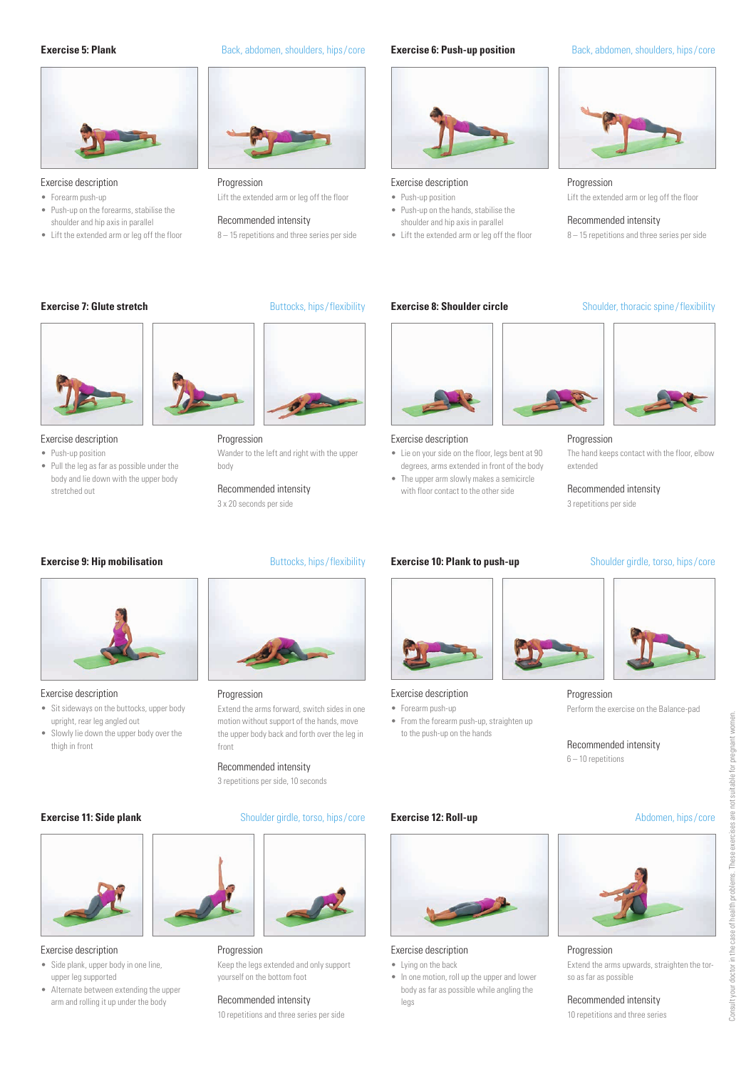

#### Exercise description **Progression** Progression **Progression Progression Progression**

- Forearm push-up
- Push-up on the forearms, stabilise the shoulder and hip axis in parallel
- Lift the extended arm or leg off the floor

## **Exercise 5: Plank** Back, abdomen, shoulders, hips/core





## Exercise description

- Push-up position • Push-up on the hands, stabilise the
- Recommended intensity **Recommended intensity Recommended intensity** 
	-

#### **Exercise 6: Push-up position** Back, abdomen, shoulders, hips/core



Lift the extended arm or leg off the floor • Push-up position Lift the extended arm or leg off the floor

8 – 15 repetitions and three series per side **by the Set and the extended arm or leg off the floor** and the extended arm or leg off the floor and three series per side

#### **Exercise 7: Glute stretch** Buttocks, hips/flexibility



- Push-up position
- Pull the leg as far as possible under the body and lie down with the upper body stretched out

## **Exercise 9: Hip mobilisation** Buttocks, hips/flexibility



#### Exercise description

- Sit sideways on the buttocks, upper body upright, rear leg angled out
- Slowly lie down the upper body over the thigh in front

• Side plank, upper body in one line, upper leg supported

• Alternate between extending the upper arm and rolling it up under the body

body

3 x 20 seconds per side

Recommended intensity

Extend the arms forward, switch sides in one motion without support of the hands, move the upper body back and forth over the leg in front



yourself on the bottom foot Exercise description **Progression** 

10 repetitions and three series per side Recommended intensity



- Lie on your side on the floor, legs bent at 90 degrees, arms extended in front of the body
- The upper arm slowly makes a semicircle with floor contact to the other side



## Exercise description

• Lying on the back

Exercise description

legs

• In one motion, roll up the upper and lower body as far as possible while angling the

- Forearm push-up • From the forearm push-up, straighten up to the push-up on the hands
- 

The hand keeps contact with the floor, elbow

## Progression

Perform the exercise on the Balance-pad

6 – 10 repetitions

#### **Exercise 12: Roll-up** Abdomen, hips/core



#### Progression

Extend the arms upwards, straighten the torso as far as possible

## Recommended intensity

10 repetitions and three series

# Progression

3 repetitions per side, 10 seconds Recommended intensity

## **Exercise 11: Side plank** Shoulder girdle, torso, hips/core



Keep the legs extended and only support

Wander to the left and right with the upper Exercise description Progression Progression Exercise description





Recommended intensity





**Exercise 8: Shoulder circle** Shoulder, thoracic spine/flexibility

extended

3 repetitions per side

Recommended intensity